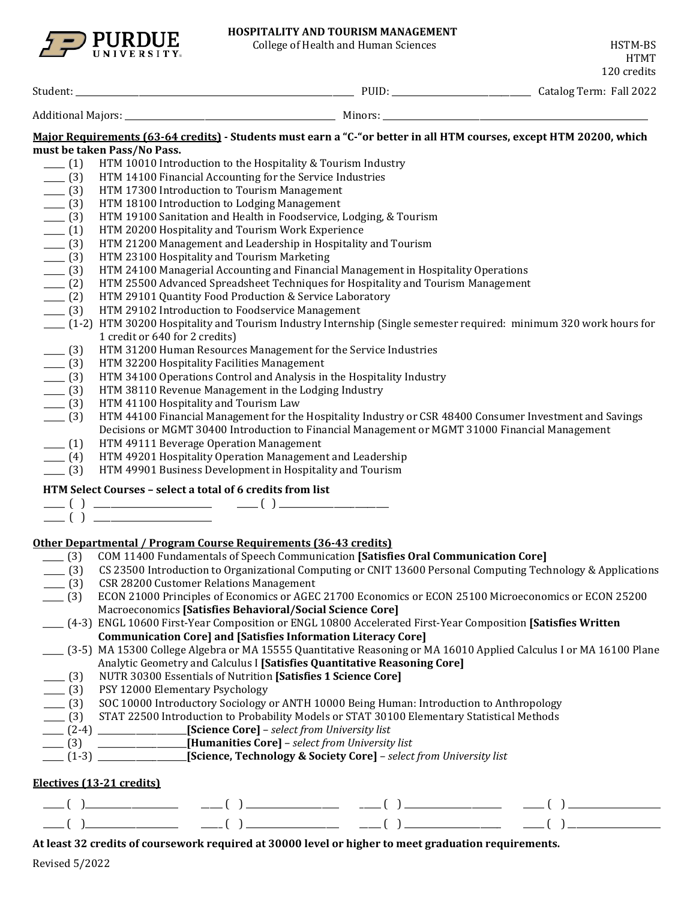

# **HOSPITALITY AND TOURISM MANAGEMENT**

College of Health and Human Sciences **HSTM-BS** 

|                                                                                 |                                                                                                                                                                    |                                                                                                                                                                                                                                                                                                                                                                    |                                                                                                                                                                                                                                                                                                                                                                                                                                                                                                       |  | 120 credits |  |  |
|---------------------------------------------------------------------------------|--------------------------------------------------------------------------------------------------------------------------------------------------------------------|--------------------------------------------------------------------------------------------------------------------------------------------------------------------------------------------------------------------------------------------------------------------------------------------------------------------------------------------------------------------|-------------------------------------------------------------------------------------------------------------------------------------------------------------------------------------------------------------------------------------------------------------------------------------------------------------------------------------------------------------------------------------------------------------------------------------------------------------------------------------------------------|--|-------------|--|--|
|                                                                                 |                                                                                                                                                                    |                                                                                                                                                                                                                                                                                                                                                                    |                                                                                                                                                                                                                                                                                                                                                                                                                                                                                                       |  |             |  |  |
|                                                                                 |                                                                                                                                                                    |                                                                                                                                                                                                                                                                                                                                                                    |                                                                                                                                                                                                                                                                                                                                                                                                                                                                                                       |  |             |  |  |
|                                                                                 |                                                                                                                                                                    |                                                                                                                                                                                                                                                                                                                                                                    | Major Requirements (63-64 credits) - Students must earn a "C-"or better in all HTM courses, except HTM 20200, which                                                                                                                                                                                                                                                                                                                                                                                   |  |             |  |  |
|                                                                                 | must be taken Pass/No Pass.                                                                                                                                        |                                                                                                                                                                                                                                                                                                                                                                    |                                                                                                                                                                                                                                                                                                                                                                                                                                                                                                       |  |             |  |  |
| $- (1)$                                                                         |                                                                                                                                                                    | HTM 10010 Introduction to the Hospitality & Tourism Industry                                                                                                                                                                                                                                                                                                       |                                                                                                                                                                                                                                                                                                                                                                                                                                                                                                       |  |             |  |  |
| $- (3)$                                                                         |                                                                                                                                                                    | HTM 14100 Financial Accounting for the Service Industries                                                                                                                                                                                                                                                                                                          |                                                                                                                                                                                                                                                                                                                                                                                                                                                                                                       |  |             |  |  |
| $- (3)$                                                                         |                                                                                                                                                                    | HTM 17300 Introduction to Tourism Management                                                                                                                                                                                                                                                                                                                       |                                                                                                                                                                                                                                                                                                                                                                                                                                                                                                       |  |             |  |  |
|                                                                                 | $- (3)$<br>HTM 18100 Introduction to Lodging Management                                                                                                            |                                                                                                                                                                                                                                                                                                                                                                    |                                                                                                                                                                                                                                                                                                                                                                                                                                                                                                       |  |             |  |  |
| $-$ (3)                                                                         | HTM 19100 Sanitation and Health in Foodservice, Lodging, & Tourism                                                                                                 |                                                                                                                                                                                                                                                                                                                                                                    |                                                                                                                                                                                                                                                                                                                                                                                                                                                                                                       |  |             |  |  |
| $- (1)$                                                                         |                                                                                                                                                                    |                                                                                                                                                                                                                                                                                                                                                                    |                                                                                                                                                                                                                                                                                                                                                                                                                                                                                                       |  |             |  |  |
| $- (3)$                                                                         | HTM 20200 Hospitality and Tourism Work Experience<br>HTM 21200 Management and Leadership in Hospitality and Tourism                                                |                                                                                                                                                                                                                                                                                                                                                                    |                                                                                                                                                                                                                                                                                                                                                                                                                                                                                                       |  |             |  |  |
| $- (3)$                                                                         |                                                                                                                                                                    | HTM 23100 Hospitality and Tourism Marketing                                                                                                                                                                                                                                                                                                                        |                                                                                                                                                                                                                                                                                                                                                                                                                                                                                                       |  |             |  |  |
| $- (3)$                                                                         |                                                                                                                                                                    |                                                                                                                                                                                                                                                                                                                                                                    | HTM 24100 Managerial Accounting and Financial Management in Hospitality Operations                                                                                                                                                                                                                                                                                                                                                                                                                    |  |             |  |  |
| $- (2)$                                                                         |                                                                                                                                                                    |                                                                                                                                                                                                                                                                                                                                                                    | HTM 25500 Advanced Spreadsheet Techniques for Hospitality and Tourism Management                                                                                                                                                                                                                                                                                                                                                                                                                      |  |             |  |  |
| $- (2)$                                                                         |                                                                                                                                                                    | HTM 29101 Quantity Food Production & Service Laboratory                                                                                                                                                                                                                                                                                                            |                                                                                                                                                                                                                                                                                                                                                                                                                                                                                                       |  |             |  |  |
| $- (3)$                                                                         |                                                                                                                                                                    | HTM 29102 Introduction to Foodservice Management                                                                                                                                                                                                                                                                                                                   |                                                                                                                                                                                                                                                                                                                                                                                                                                                                                                       |  |             |  |  |
|                                                                                 |                                                                                                                                                                    |                                                                                                                                                                                                                                                                                                                                                                    | ___ (1-2) HTM 30200 Hospitality and Tourism Industry Internship (Single semester required: minimum 320 work hours for                                                                                                                                                                                                                                                                                                                                                                                 |  |             |  |  |
|                                                                                 | 1 credit or 640 for 2 credits)                                                                                                                                     |                                                                                                                                                                                                                                                                                                                                                                    |                                                                                                                                                                                                                                                                                                                                                                                                                                                                                                       |  |             |  |  |
| $- (3)$                                                                         |                                                                                                                                                                    |                                                                                                                                                                                                                                                                                                                                                                    | HTM 31200 Human Resources Management for the Service Industries                                                                                                                                                                                                                                                                                                                                                                                                                                       |  |             |  |  |
| $- (3)$                                                                         |                                                                                                                                                                    | HTM 32200 Hospitality Facilities Management                                                                                                                                                                                                                                                                                                                        |                                                                                                                                                                                                                                                                                                                                                                                                                                                                                                       |  |             |  |  |
|                                                                                 |                                                                                                                                                                    |                                                                                                                                                                                                                                                                                                                                                                    | HTM 34100 Operations Control and Analysis in the Hospitality Industry                                                                                                                                                                                                                                                                                                                                                                                                                                 |  |             |  |  |
| $-$ (3)                                                                         |                                                                                                                                                                    | HTM 38110 Revenue Management in the Lodging Industry                                                                                                                                                                                                                                                                                                               |                                                                                                                                                                                                                                                                                                                                                                                                                                                                                                       |  |             |  |  |
| $- (3)$                                                                         |                                                                                                                                                                    |                                                                                                                                                                                                                                                                                                                                                                    |                                                                                                                                                                                                                                                                                                                                                                                                                                                                                                       |  |             |  |  |
| $- (3)$                                                                         |                                                                                                                                                                    | HTM 41100 Hospitality and Tourism Law                                                                                                                                                                                                                                                                                                                              |                                                                                                                                                                                                                                                                                                                                                                                                                                                                                                       |  |             |  |  |
| $-$ (3)                                                                         |                                                                                                                                                                    |                                                                                                                                                                                                                                                                                                                                                                    | HTM 44100 Financial Management for the Hospitality Industry or CSR 48400 Consumer Investment and Savings                                                                                                                                                                                                                                                                                                                                                                                              |  |             |  |  |
|                                                                                 |                                                                                                                                                                    |                                                                                                                                                                                                                                                                                                                                                                    | Decisions or MGMT 30400 Introduction to Financial Management or MGMT 31000 Financial Management                                                                                                                                                                                                                                                                                                                                                                                                       |  |             |  |  |
| $- (1)$                                                                         |                                                                                                                                                                    | HTM 49111 Beverage Operation Management                                                                                                                                                                                                                                                                                                                            |                                                                                                                                                                                                                                                                                                                                                                                                                                                                                                       |  |             |  |  |
| $- (4)$                                                                         |                                                                                                                                                                    | HTM 49201 Hospitality Operation Management and Leadership                                                                                                                                                                                                                                                                                                          |                                                                                                                                                                                                                                                                                                                                                                                                                                                                                                       |  |             |  |  |
| $- (3)$                                                                         |                                                                                                                                                                    | HTM 49901 Business Development in Hospitality and Tourism                                                                                                                                                                                                                                                                                                          |                                                                                                                                                                                                                                                                                                                                                                                                                                                                                                       |  |             |  |  |
|                                                                                 |                                                                                                                                                                    | HTM Select Courses - select a total of 6 credits from list                                                                                                                                                                                                                                                                                                         |                                                                                                                                                                                                                                                                                                                                                                                                                                                                                                       |  |             |  |  |
|                                                                                 |                                                                                                                                                                    | $\underbrace{\hspace{2.5cm}}_{\hspace{2.2cm} \rule{2.2cm}{0.15cm} \hspace{2.2cm} }\left(\begin{array}{c} \rule{2.2cm}{0.15cm} \rule{2.2cm}{0.15cm} \rule{2.2cm}{0.15cm} \rule{2.2cm}{0.15cm} \rule{2.2cm}{0.15cm} \rule{2.2cm}{0.15cm} \rule{2.2cm}{0.15cm} \rule{2.2cm}{0.15cm} \rule{2.2cm}{0.15cm} \rule{2.2cm}{0.15cm} \rule{2.2cm}{0.15cm} \rule{2.2cm}{0.15$ |                                                                                                                                                                                                                                                                                                                                                                                                                                                                                                       |  |             |  |  |
|                                                                                 |                                                                                                                                                                    |                                                                                                                                                                                                                                                                                                                                                                    |                                                                                                                                                                                                                                                                                                                                                                                                                                                                                                       |  |             |  |  |
|                                                                                 |                                                                                                                                                                    | Other Departmental / Program Course Requirements (36-43 credits)                                                                                                                                                                                                                                                                                                   |                                                                                                                                                                                                                                                                                                                                                                                                                                                                                                       |  |             |  |  |
|                                                                                 |                                                                                                                                                                    |                                                                                                                                                                                                                                                                                                                                                                    | [3] COM 11400 Fundamentals of Speech Communication [Satisfies Oral Communication Core]                                                                                                                                                                                                                                                                                                                                                                                                                |  |             |  |  |
| $- (3)$                                                                         |                                                                                                                                                                    |                                                                                                                                                                                                                                                                                                                                                                    | CS 23500 Introduction to Organizational Computing or CNIT 13600 Personal Computing Technology & Applications                                                                                                                                                                                                                                                                                                                                                                                          |  |             |  |  |
|                                                                                 |                                                                                                                                                                    | <b>CSR 28200 Customer Relations Management</b>                                                                                                                                                                                                                                                                                                                     |                                                                                                                                                                                                                                                                                                                                                                                                                                                                                                       |  |             |  |  |
| $- (3)$                                                                         |                                                                                                                                                                    |                                                                                                                                                                                                                                                                                                                                                                    |                                                                                                                                                                                                                                                                                                                                                                                                                                                                                                       |  |             |  |  |
| $- (3)$                                                                         | ECON 21000 Principles of Economics or AGEC 21700 Economics or ECON 25100 Microeconomics or ECON 25200<br>Macroeconomics [Satisfies Behavioral/Social Science Core] |                                                                                                                                                                                                                                                                                                                                                                    |                                                                                                                                                                                                                                                                                                                                                                                                                                                                                                       |  |             |  |  |
|                                                                                 |                                                                                                                                                                    |                                                                                                                                                                                                                                                                                                                                                                    | (4-3) ENGL 10600 First-Year Composition or ENGL 10800 Accelerated First-Year Composition [Satisfies Written]                                                                                                                                                                                                                                                                                                                                                                                          |  |             |  |  |
|                                                                                 |                                                                                                                                                                    |                                                                                                                                                                                                                                                                                                                                                                    |                                                                                                                                                                                                                                                                                                                                                                                                                                                                                                       |  |             |  |  |
|                                                                                 |                                                                                                                                                                    |                                                                                                                                                                                                                                                                                                                                                                    | <b>Communication Core] and [Satisfies Information Literacy Core]</b>                                                                                                                                                                                                                                                                                                                                                                                                                                  |  |             |  |  |
|                                                                                 |                                                                                                                                                                    |                                                                                                                                                                                                                                                                                                                                                                    | (3-5) MA 15300 College Algebra or MA 15555 Quantitative Reasoning or MA 16010 Applied Calculus I or MA 16100 Plane                                                                                                                                                                                                                                                                                                                                                                                    |  |             |  |  |
|                                                                                 |                                                                                                                                                                    |                                                                                                                                                                                                                                                                                                                                                                    | Analytic Geometry and Calculus I [Satisfies Quantitative Reasoning Core]                                                                                                                                                                                                                                                                                                                                                                                                                              |  |             |  |  |
| $-$ (3)                                                                         |                                                                                                                                                                    | NUTR 30300 Essentials of Nutrition [Satisfies 1 Science Core]                                                                                                                                                                                                                                                                                                      |                                                                                                                                                                                                                                                                                                                                                                                                                                                                                                       |  |             |  |  |
| $-$ (3)                                                                         | PSY 12000 Elementary Psychology                                                                                                                                    |                                                                                                                                                                                                                                                                                                                                                                    |                                                                                                                                                                                                                                                                                                                                                                                                                                                                                                       |  |             |  |  |
| $-$ (3)                                                                         | SOC 10000 Introductory Sociology or ANTH 10000 Being Human: Introduction to Anthropology                                                                           |                                                                                                                                                                                                                                                                                                                                                                    |                                                                                                                                                                                                                                                                                                                                                                                                                                                                                                       |  |             |  |  |
| $- (3)$                                                                         |                                                                                                                                                                    |                                                                                                                                                                                                                                                                                                                                                                    | STAT 22500 Introduction to Probability Models or STAT 30100 Elementary Statistical Methods                                                                                                                                                                                                                                                                                                                                                                                                            |  |             |  |  |
|                                                                                 |                                                                                                                                                                    | [2-4] [Science Core] - select from University list                                                                                                                                                                                                                                                                                                                 |                                                                                                                                                                                                                                                                                                                                                                                                                                                                                                       |  |             |  |  |
| _____________________[Humanities Core] - select from University list<br>$- (3)$ |                                                                                                                                                                    |                                                                                                                                                                                                                                                                                                                                                                    |                                                                                                                                                                                                                                                                                                                                                                                                                                                                                                       |  |             |  |  |
|                                                                                 | [1-3] Science, Technology & Society Core] - select from University list                                                                                            |                                                                                                                                                                                                                                                                                                                                                                    |                                                                                                                                                                                                                                                                                                                                                                                                                                                                                                       |  |             |  |  |
|                                                                                 | Electives (13-21 credits)                                                                                                                                          |                                                                                                                                                                                                                                                                                                                                                                    |                                                                                                                                                                                                                                                                                                                                                                                                                                                                                                       |  |             |  |  |
|                                                                                 |                                                                                                                                                                    |                                                                                                                                                                                                                                                                                                                                                                    | $\begin{tabular}{lllllllll} \hline & ( & ) & \hline \hline ( & ) & \hline \hline ( & ) & \hline \hline ( & ) & \hline \hline ( & ) & \hline \hline ( & ) & \hline \hline ( & ) & \hline \hline ( & ) & \hline \hline ( & ) & \hline \hline ( & ) & \hline \hline ( & ) & \hline \hline ( & ) & \hline \hline ( & ) & \hline \hline ( & ) & \hline \hline ( & ) & \hline \hline ( & ) & \hline \hline ( & ) & \hline \hline ( & ) & \hline \hline ( & ) & \hline \hline ( & ) & \hline \hline ( & ) &$ |  |             |  |  |
|                                                                                 |                                                                                                                                                                    |                                                                                                                                                                                                                                                                                                                                                                    |                                                                                                                                                                                                                                                                                                                                                                                                                                                                                                       |  |             |  |  |
|                                                                                 |                                                                                                                                                                    |                                                                                                                                                                                                                                                                                                                                                                    |                                                                                                                                                                                                                                                                                                                                                                                                                                                                                                       |  |             |  |  |

# **At least 32 credits of coursework required at 30000 level or higher to meet graduation requirements.**

Revised 5/2022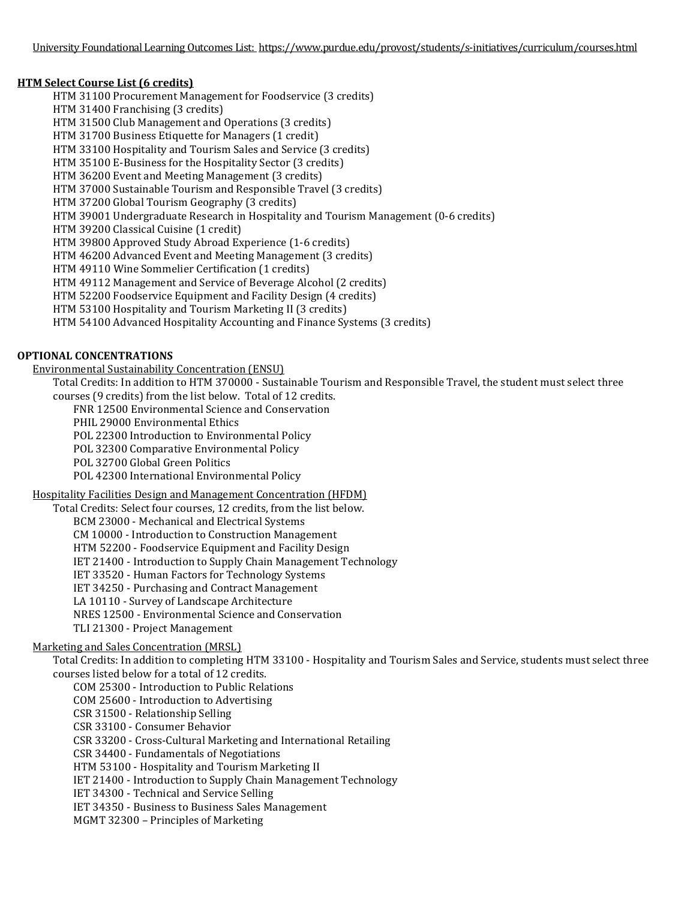## **HTM Select Course List (6 credits)**

HTM 31100 Procurement Management for Foodservice (3 credits) HTM 31400 Franchising (3 credits) HTM 31500 Club Management and Operations (3 credits) HTM 31700 Business Etiquette for Managers (1 credit) HTM 33100 Hospitality and Tourism Sales and Service (3 credits) HTM 35100 E-Business for the Hospitality Sector (3 credits) HTM 36200 Event and Meeting Management (3 credits) HTM 37000 Sustainable Tourism and Responsible Travel (3 credits) HTM 37200 Global Tourism Geography (3 credits) HTM 39001 Undergraduate Research in Hospitality and Tourism Management (0-6 credits) HTM 39200 Classical Cuisine (1 credit) HTM 39800 Approved Study Abroad Experience (1-6 credits) HTM 46200 Advanced Event and Meeting Management (3 credits) HTM 49110 Wine Sommelier Certification (1 credits) HTM 49112 Management and Service of Beverage Alcohol (2 credits) HTM 52200 Foodservice Equipment and Facility Design (4 credits) HTM 53100 Hospitality and Tourism Marketing II (3 credits) HTM 54100 Advanced Hospitality Accounting and Finance Systems (3 credits)

# **OPTIONAL CONCENTRATIONS**

Environmental Sustainability Concentration (ENSU)

Total Credits: In addition to HTM 370000 - Sustainable Tourism and Responsible Travel, the student must select three courses (9 credits) from the list below. Total of 12 credits.

FNR 12500 Environmental Science and Conservation

PHIL 29000 Environmental Ethics

POL 22300 Introduction to Environmental Policy

POL 32300 Comparative Environmental Policy

POL 32700 Global Green Politics

POL 42300 International Environmental Policy

## Hospitality Facilities Design and Management Concentration (HFDM)

Total Credits: Select four courses, 12 credits, from the list below. BCM 23000 - Mechanical and Electrical Systems CM 10000 - Introduction to Construction Management HTM 52200 - Foodservice Equipment and Facility Design IET 21400 - Introduction to Supply Chain Management Technology IET 33520 - Human Factors for Technology Systems IET 34250 - Purchasing and Contract Management LA 10110 - Survey of Landscape Architecture NRES 12500 - Environmental Science and Conservation TLI 21300 - Project Management

## Marketing and Sales Concentration (MRSL)

Total Credits: In addition to completing HTM 33100 - Hospitality and Tourism Sales and Service, students must select three courses listed below for a total of 12 credits.

COM 25300 - Introduction to Public Relations

COM 25600 - Introduction to Advertising

CSR 31500 - Relationship Selling

CSR 33100 - Consumer Behavior

CSR 33200 - Cross-Cultural Marketing and International Retailing

CSR 34400 - Fundamentals of Negotiations

HTM 53100 - Hospitality and Tourism Marketing II

IET 21400 - Introduction to Supply Chain Management Technology

IET 34300 - Technical and Service Selling

IET 34350 - Business to Business Sales Management

MGMT 32300 – Principles of Marketing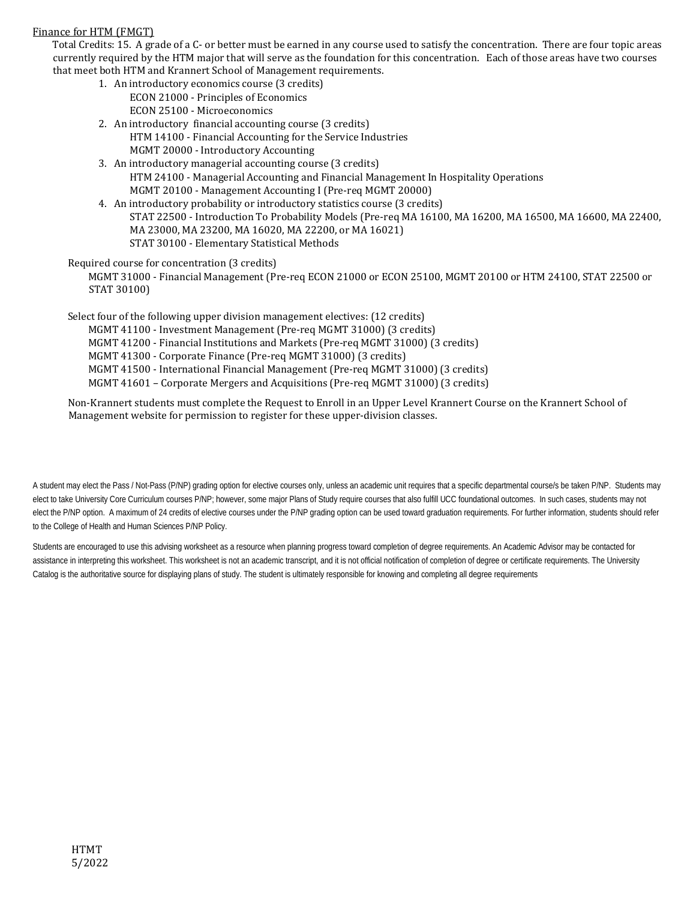#### Finance for HTM (FMGT)

Total Credits: 15. A grade of a C- or better must be earned in any course used to satisfy the concentration. There are four topic areas currently required by the HTM major that will serve as the foundation for this concentration. Each of those areas have two courses that meet both HTM and Krannert School of Management requirements.

- 1. An introductory economics course (3 credits) ECON 21000 - Principles of Economics ECON 25100 - Microeconomics
- 2. An introductory financial accounting course (3 credits) HTM 14100 - Financial Accounting for the Service Industries MGMT 20000 - Introductory Accounting
- 3. An introductory managerial accounting course (3 credits) HTM 24100 - Managerial Accounting and Financial Management In Hospitality Operations MGMT 20100 - Management Accounting I (Pre-req MGMT 20000)
- 4. An introductory probability or introductory statistics course (3 credits) STAT 22500 - Introduction To Probability Models (Pre-req MA 16100, MA 16200, MA 16500, MA 16600, MA 22400, MA 23000, MA 23200, MA 16020, MA 22200, or MA 16021) STAT 30100 - Elementary Statistical Methods

#### Required course for concentration (3 credits)

MGMT 31000 - Financial Management (Pre-req ECON 21000 or ECON 25100, MGMT 20100 or HTM 24100, STAT 22500 or STAT 30100)

Select four of the following upper division management electives: (12 credits)

- MGMT 41100 Investment Management (Pre-req MGMT 31000) (3 credits)
- MGMT 41200 Financial Institutions and Markets (Pre-req MGMT 31000) (3 credits)
- MGMT 41300 Corporate Finance (Pre-req MGMT 31000) (3 credits)
- MGMT 41500 International Financial Management (Pre-req MGMT 31000) (3 credits)
- MGMT 41601 Corporate Mergers and Acquisitions (Pre-req MGMT 31000) (3 credits)

Non-Krannert students must complete the Request to Enroll in an Upper Level Krannert Course on the Krannert School of Management website for permission to register for these upper-division classes.

A student may elect the Pass / Not-Pass (P/NP) grading option for elective courses only, unless an academic unit requires that a specific departmental course/s be taken P/NP. Students may elect to take University Core Curriculum courses P/NP; however, some major Plans of Study require courses that also fulfill UCC foundational outcomes. In such cases, students may not elect the P/NP option. A maximum of 24 credits of elective courses under the P/NP grading option can be used toward graduation requirements. For further information, students should refer to the College of Health and Human Sciences P/NP Policy.

Students are encouraged to use this advising worksheet as a resource when planning progress toward completion of degree requirements. An Academic Advisor may be contacted for assistance in interpreting this worksheet. This worksheet is not an academic transcript, and it is not official notification of completion of degree or certificate requirements. The University Catalog is the authoritative source for displaying plans of study. The student is ultimately responsible for knowing and completing all degree requirements